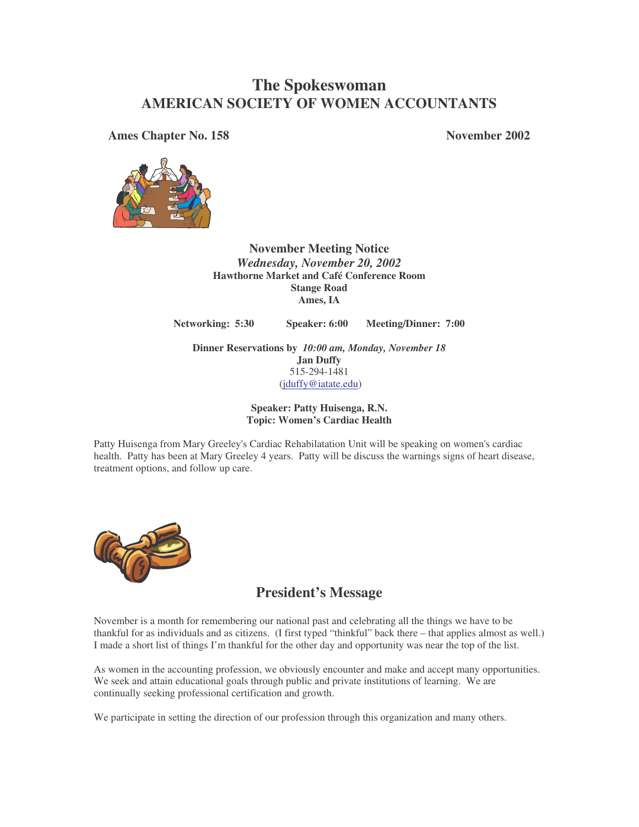## **The Spokeswoman AMERICAN SOCIETY OF WOMEN ACCOUNTANTS**

**Ames Chapter No. 158 November 2002**



**November Meeting Notice** *Wednesday, November 20, 2002* **Hawthorne Market and Café Conference Room Stange Road Ames, IA**

**Networking: 5:30 Speaker: 6:00 Meeting/Dinner: 7:00**

**Dinner Reservations by** *10:00 am, Monday, November 18* **Jan Duffy** 515-294-1481 (jduffy@iatate.edu)

> **Speaker: Patty Huisenga, R.N. Topic: Women's Cardiac Health**

Patty Huisenga from Mary Greeley's Cardiac Rehabilatation Unit will be speaking on women's cardiac health. Patty has been at Mary Greeley 4 years. Patty will be discuss the warnings signs of heart disease, treatment options, and follow up care.



## **President's Message**

November is a month for remembering our national past and celebrating all the things we have to be thankful for as individuals and as citizens. (I first typed "thinkful" back there – that applies almost as well.) I made a short list of things I'm thankful for the other day and opportunity was near the top of the list.

As women in the accounting profession, we obviously encounter and make and accept many opportunities. We seek and attain educational goals through public and private institutions of learning. We are continually seeking professional certification and growth.

We participate in setting the direction of our profession through this organization and many others.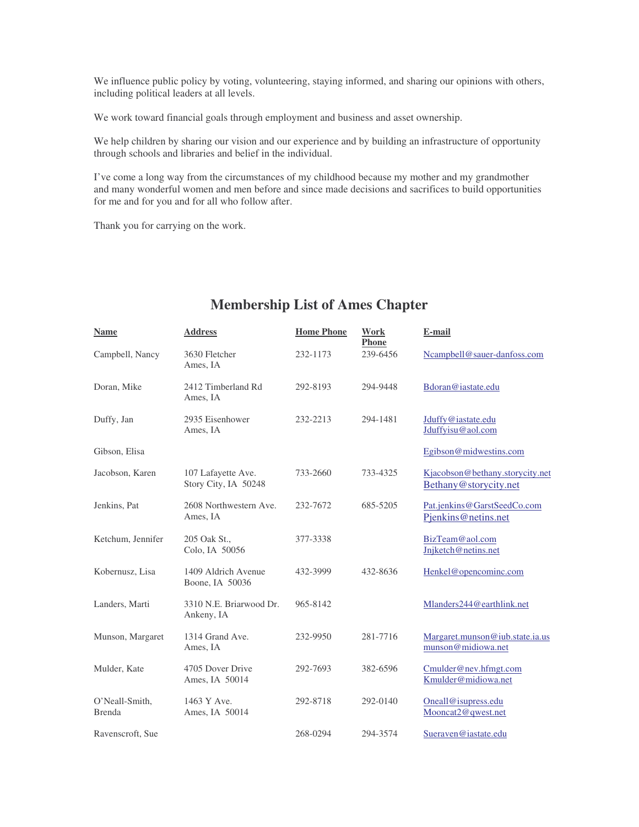We influence public policy by voting, volunteering, staying informed, and sharing our opinions with others, including political leaders at all levels.

We work toward financial goals through employment and business and asset ownership.

We help children by sharing our vision and our experience and by building an infrastructure of opportunity through schools and libraries and belief in the individual.

I've come a long way from the circumstances of my childhood because my mother and my grandmother and many wonderful women and men before and since made decisions and sacrifices to build opportunities for me and for you and for all who follow after.

Thank you for carrying on the work.

| <b>Name</b>              | <b>Address</b>                             | <b>Home Phone</b> | <b>Work</b><br><b>Phone</b> | E-mail                                                   |
|--------------------------|--------------------------------------------|-------------------|-----------------------------|----------------------------------------------------------|
| Campbell, Nancy          | 3630 Fletcher<br>Ames, IA                  | 232-1173          | 239-6456                    | Ncampbell@sauer-danfoss.com                              |
| Doran, Mike              | 2412 Timberland Rd<br>Ames, IA             | 292-8193          | 294-9448                    | Bdoran@iastate.edu                                       |
| Duffy, Jan               | 2935 Eisenhower<br>Ames, IA                | 232-2213          | 294-1481                    | Jduffy@iastate.edu<br>Jduffyisu@aol.com                  |
| Gibson, Elisa            |                                            |                   |                             | Egibson@midwestins.com                                   |
| Jacobson, Karen          | 107 Lafayette Ave.<br>Story City, IA 50248 | 733-2660          | 733-4325                    | Kjacobson@bethany.storycity.net<br>Bethany@storycity.net |
| Jenkins, Pat             | 2608 Northwestern Ave.<br>Ames, IA         | 232-7672          | 685-5205                    | Pat.jenkins@GarstSeedCo.com<br>Pjenkins@netins.net       |
| Ketchum, Jennifer        | 205 Oak St.,<br>Colo, IA 50056             | 377-3338          |                             | BizTeam@aol.com<br>Jnjketch@netins.net                   |
| Kobernusz, Lisa          | 1409 Aldrich Avenue<br>Boone, IA 50036     | 432-3999          | 432-8636                    | Henkel@opencominc.com                                    |
| Landers, Marti           | 3310 N.E. Briarwood Dr.<br>Ankeny, IA      | 965-8142          |                             | Mlanders244@earthlink.net                                |
| Munson, Margaret         | 1314 Grand Ave.<br>Ames, IA                | 232-9950          | 281-7716                    | Margaret.munson@iub.state.ia.us<br>munson@midiowa.net    |
| Mulder, Kate             | 4705 Dover Drive<br>Ames, IA 50014         | 292-7693          | 382-6596                    | Cmulder@nev.hfmgt.com<br>Kmulder@midiowa.net             |
| O'Neall-Smith,<br>Brenda | 1463 Y Ave.<br>Ames, IA 50014              | 292-8718          | 292-0140                    | Oneall@isupress.edu<br>Mooncat2@qwest.net                |
| Ravenscroft, Sue         |                                            | 268-0294          | 294-3574                    | Sueraven@iastate.edu                                     |

## **Membership List of Ames Chapter**